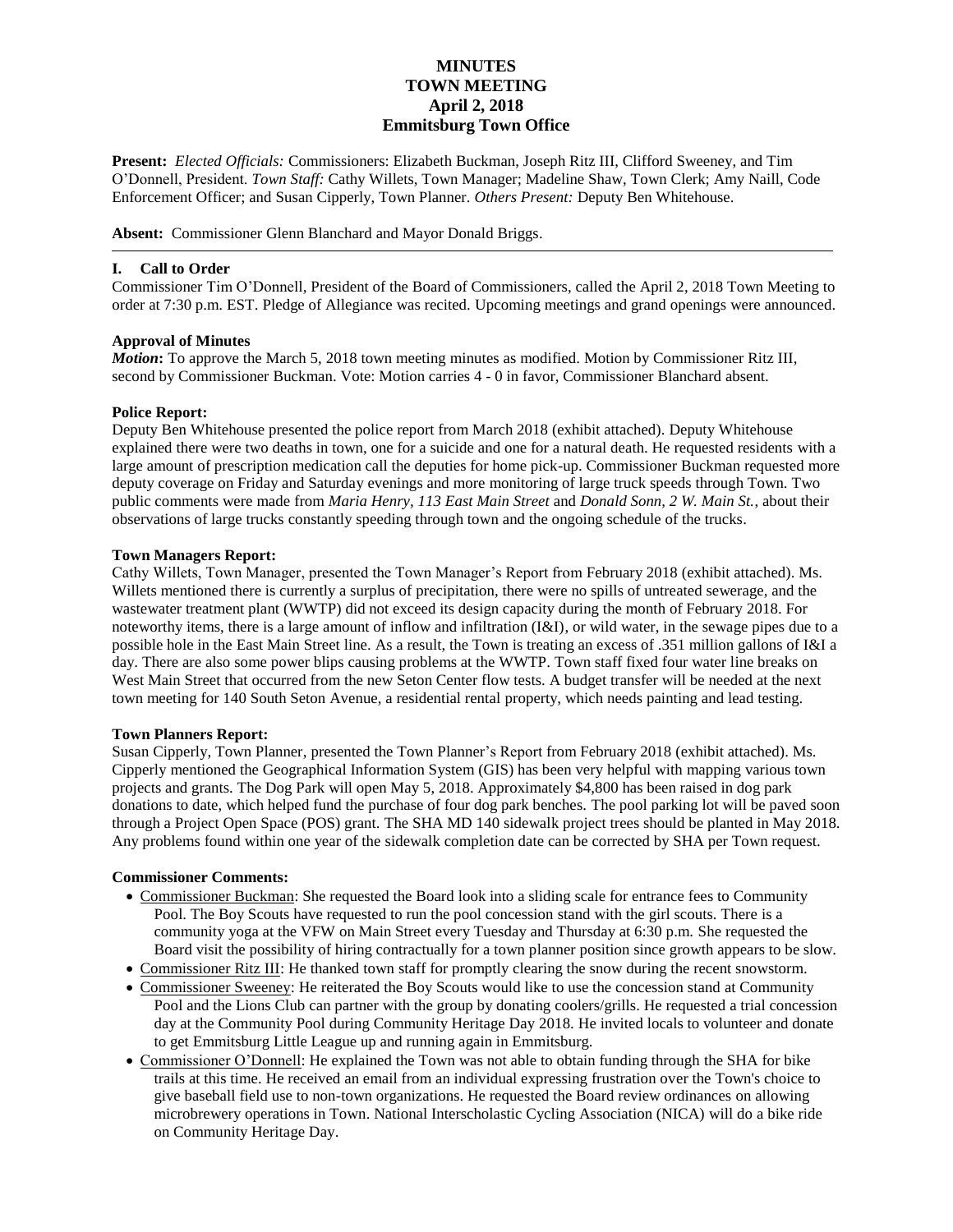# **MINUTES TOWN MEETING April 2, 2018 Emmitsburg Town Office**

**Present:** *Elected Officials:* Commissioners: Elizabeth Buckman, Joseph Ritz III, Clifford Sweeney, and Tim O'Donnell, President. *Town Staff:* Cathy Willets, Town Manager; Madeline Shaw, Town Clerk; Amy Naill, Code Enforcement Officer; and Susan Cipperly, Town Planner. *Others Present:* Deputy Ben Whitehouse.

**Absent:** Commissioner Glenn Blanchard and Mayor Donald Briggs.

### **I. Call to Order**

Commissioner Tim O'Donnell, President of the Board of Commissioners, called the April 2, 2018 Town Meeting to order at 7:30 p.m. EST. Pledge of Allegiance was recited. Upcoming meetings and grand openings were announced.

#### **Approval of Minutes**

*Motion***:** To approve the March 5, 2018 town meeting minutes as modified. Motion by Commissioner Ritz III, second by Commissioner Buckman. Vote: Motion carries 4 - 0 in favor, Commissioner Blanchard absent.

### **Police Report:**

Deputy Ben Whitehouse presented the police report from March 2018 (exhibit attached). Deputy Whitehouse explained there were two deaths in town, one for a suicide and one for a natural death. He requested residents with a large amount of prescription medication call the deputies for home pick-up. Commissioner Buckman requested more deputy coverage on Friday and Saturday evenings and more monitoring of large truck speeds through Town. Two public comments were made from *Maria Henry, 113 East Main Street* and *Donald Sonn, 2 W. Main St.*, about their observations of large trucks constantly speeding through town and the ongoing schedule of the trucks.

#### **Town Managers Report:**

Cathy Willets, Town Manager, presented the Town Manager's Report from February 2018 (exhibit attached). Ms. Willets mentioned there is currently a surplus of precipitation, there were no spills of untreated sewerage, and the wastewater treatment plant (WWTP) did not exceed its design capacity during the month of February 2018. For noteworthy items, there is a large amount of inflow and infiltration (I&I), or wild water, in the sewage pipes due to a possible hole in the East Main Street line. As a result, the Town is treating an excess of .351 million gallons of I&I a day. There are also some power blips causing problems at the WWTP. Town staff fixed four water line breaks on West Main Street that occurred from the new Seton Center flow tests. A budget transfer will be needed at the next town meeting for 140 South Seton Avenue, a residential rental property, which needs painting and lead testing.

#### **Town Planners Report:**

Susan Cipperly, Town Planner, presented the Town Planner's Report from February 2018 (exhibit attached). Ms. Cipperly mentioned the Geographical Information System (GIS) has been very helpful with mapping various town projects and grants. The Dog Park will open May 5, 2018. Approximately \$4,800 has been raised in dog park donations to date, which helped fund the purchase of four dog park benches. The pool parking lot will be paved soon through a Project Open Space (POS) grant. The SHA MD 140 sidewalk project trees should be planted in May 2018. Any problems found within one year of the sidewalk completion date can be corrected by SHA per Town request.

#### **Commissioner Comments:**

- Commissioner Buckman: She requested the Board look into a sliding scale for entrance fees to Community Pool. The Boy Scouts have requested to run the pool concession stand with the girl scouts. There is a community yoga at the VFW on Main Street every Tuesday and Thursday at 6:30 p.m. She requested the Board visit the possibility of hiring contractually for a town planner position since growth appears to be slow.
- Commissioner Ritz III: He thanked town staff for promptly clearing the snow during the recent snowstorm.
- Commissioner Sweeney: He reiterated the Boy Scouts would like to use the concession stand at Community Pool and the Lions Club can partner with the group by donating coolers/grills. He requested a trial concession day at the Community Pool during Community Heritage Day 2018. He invited locals to volunteer and donate to get Emmitsburg Little League up and running again in Emmitsburg.
- Commissioner O'Donnell: He explained the Town was not able to obtain funding through the SHA for bike trails at this time. He received an email from an individual expressing frustration over the Town's choice to give baseball field use to non-town organizations. He requested the Board review ordinances on allowing microbrewery operations in Town. National Interscholastic Cycling Association (NICA) will do a bike ride on Community Heritage Day.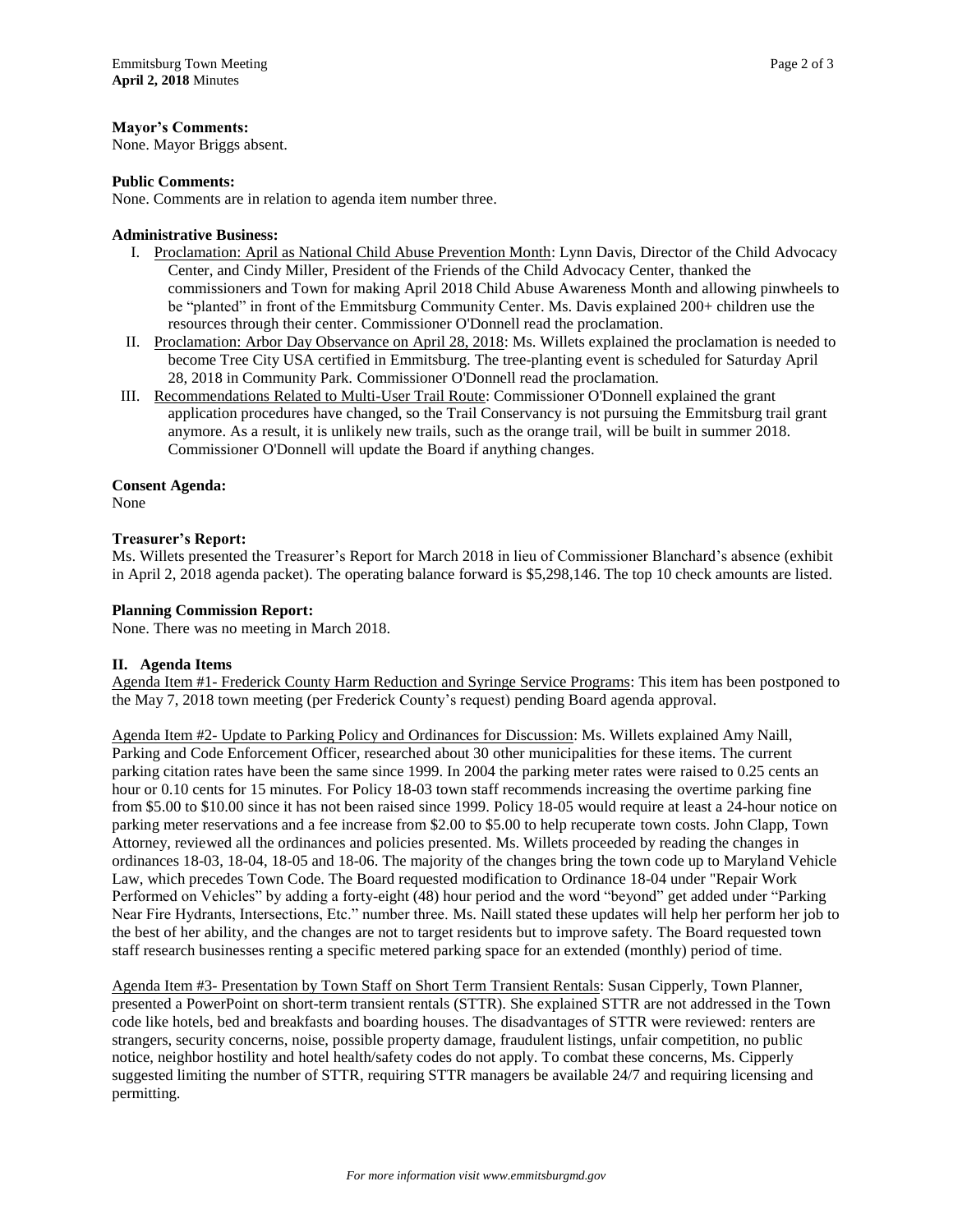### **Mayor's Comments:**

None. Mayor Briggs absent.

### **Public Comments:**

None. Comments are in relation to agenda item number three.

### **Administrative Business:**

- I. Proclamation: April as National Child Abuse Prevention Month: Lynn Davis, Director of the Child Advocacy Center, and Cindy Miller, President of the Friends of the Child Advocacy Center, thanked the commissioners and Town for making April 2018 Child Abuse Awareness Month and allowing pinwheels to be "planted" in front of the Emmitsburg Community Center. Ms. Davis explained 200+ children use the resources through their center. Commissioner O'Donnell read the proclamation.
- II. Proclamation: Arbor Day Observance on April 28, 2018: Ms. Willets explained the proclamation is needed to become Tree City USA certified in Emmitsburg. The tree-planting event is scheduled for Saturday April 28, 2018 in Community Park. Commissioner O'Donnell read the proclamation.
- III. Recommendations Related to Multi-User Trail Route: Commissioner O'Donnell explained the grant application procedures have changed, so the Trail Conservancy is not pursuing the Emmitsburg trail grant anymore. As a result, it is unlikely new trails, such as the orange trail, will be built in summer 2018. Commissioner O'Donnell will update the Board if anything changes.

### **Consent Agenda:**

None

# **Treasurer's Report:**

Ms. Willets presented the Treasurer's Report for March 2018 in lieu of Commissioner Blanchard's absence (exhibit in April 2, 2018 agenda packet). The operating balance forward is \$5,298,146. The top 10 check amounts are listed.

### **Planning Commission Report:**

None. There was no meeting in March 2018.

# **II. Agenda Items**

Agenda Item #1- Frederick County Harm Reduction and Syringe Service Programs: This item has been postponed to the May 7, 2018 town meeting (per Frederick County's request) pending Board agenda approval.

Agenda Item #2- Update to Parking Policy and Ordinances for Discussion: Ms. Willets explained Amy Naill, Parking and Code Enforcement Officer, researched about 30 other municipalities for these items. The current parking citation rates have been the same since 1999. In 2004 the parking meter rates were raised to 0.25 cents an hour or 0.10 cents for 15 minutes. For Policy 18-03 town staff recommends increasing the overtime parking fine from \$5.00 to \$10.00 since it has not been raised since 1999. Policy 18-05 would require at least a 24-hour notice on parking meter reservations and a fee increase from \$2.00 to \$5.00 to help recuperate town costs. John Clapp, Town Attorney, reviewed all the ordinances and policies presented. Ms. Willets proceeded by reading the changes in ordinances 18-03, 18-04, 18-05 and 18-06. The majority of the changes bring the town code up to Maryland Vehicle Law, which precedes Town Code. The Board requested modification to Ordinance 18-04 under "Repair Work Performed on Vehicles" by adding a forty-eight (48) hour period and the word "beyond" get added under "Parking Near Fire Hydrants, Intersections, Etc." number three. Ms. Naill stated these updates will help her perform her job to the best of her ability, and the changes are not to target residents but to improve safety. The Board requested town staff research businesses renting a specific metered parking space for an extended (monthly) period of time.

Agenda Item #3- Presentation by Town Staff on Short Term Transient Rentals: Susan Cipperly, Town Planner, presented a PowerPoint on short-term transient rentals (STTR). She explained STTR are not addressed in the Town code like hotels, bed and breakfasts and boarding houses. The disadvantages of STTR were reviewed: renters are strangers, security concerns, noise, possible property damage, fraudulent listings, unfair competition, no public notice, neighbor hostility and hotel health/safety codes do not apply. To combat these concerns, Ms. Cipperly suggested limiting the number of STTR, requiring STTR managers be available 24/7 and requiring licensing and permitting.